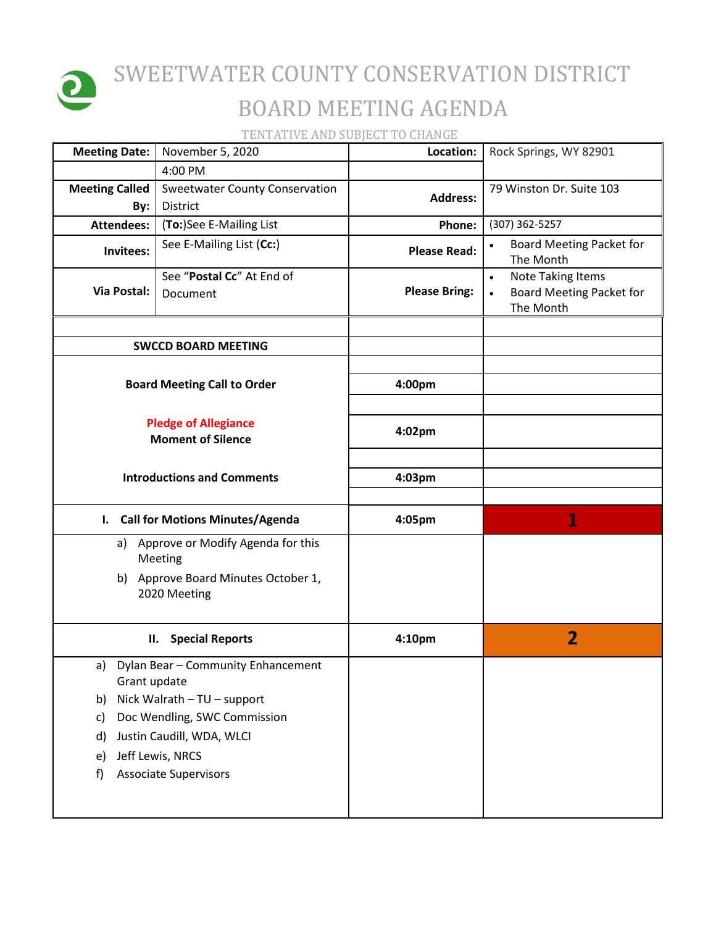

## SWEETWATER COUNTY CONSERVATION DISTRICT BOARD MEETING AGENDA

TENTATIVE AND SUBJECT TO CHANGE

| <b>Meeting Date:</b>                                    | November 5, 2020                                    | Location:            | Rock Springs, WY 82901                                                                |
|---------------------------------------------------------|-----------------------------------------------------|----------------------|---------------------------------------------------------------------------------------|
|                                                         | 4:00 PM                                             |                      |                                                                                       |
| <b>Meeting Called</b><br>By:                            | <b>Sweetwater County Conservation</b><br>District   | <b>Address:</b>      | 79 Winston Dr. Suite 103                                                              |
| <b>Attendees:</b>                                       | (To:)See E-Mailing List                             | Phone:               | (307) 362-5257                                                                        |
| Invitees:                                               | See E-Mailing List (Cc:)                            | <b>Please Read:</b>  | Board Meeting Packet for<br>The Month                                                 |
| <b>Via Postal:</b>                                      | See "Postal Cc" At End of<br>Document               | <b>Please Bring:</b> | <b>Note Taking Items</b><br>$\bullet$<br><b>Board Meeting Packet for</b><br>The Month |
|                                                         | <b>SWCCD BOARD MEETING</b>                          |                      |                                                                                       |
|                                                         |                                                     |                      |                                                                                       |
|                                                         | <b>Board Meeting Call to Order</b>                  | 4:00pm               |                                                                                       |
| <b>Pledge of Allegiance</b><br><b>Moment of Silence</b> |                                                     | 4:02pm               |                                                                                       |
|                                                         | <b>Introductions and Comments</b>                   |                      |                                                                                       |
|                                                         | I. Call for Motions Minutes/Agenda                  | 4:05pm               | 1                                                                                     |
|                                                         | a) Approve or Modify Agenda for this<br>Meeting     |                      |                                                                                       |
|                                                         | b) Approve Board Minutes October 1,<br>2020 Meeting |                      |                                                                                       |
|                                                         | <b>Special Reports</b><br>II.                       | 4:10pm               | $\overline{2}$                                                                        |
| a)<br>Grant update                                      | Dylan Bear - Community Enhancement                  |                      |                                                                                       |
| Nick Walrath - TU - support<br>b)                       |                                                     |                      |                                                                                       |
| c)                                                      | Doc Wendling, SWC Commission                        |                      |                                                                                       |
| d)                                                      | Justin Caudill, WDA, WLCI                           |                      |                                                                                       |
| e)                                                      | Jeff Lewis, NRCS                                    |                      |                                                                                       |
| f)                                                      | <b>Associate Supervisors</b>                        |                      |                                                                                       |
|                                                         |                                                     |                      |                                                                                       |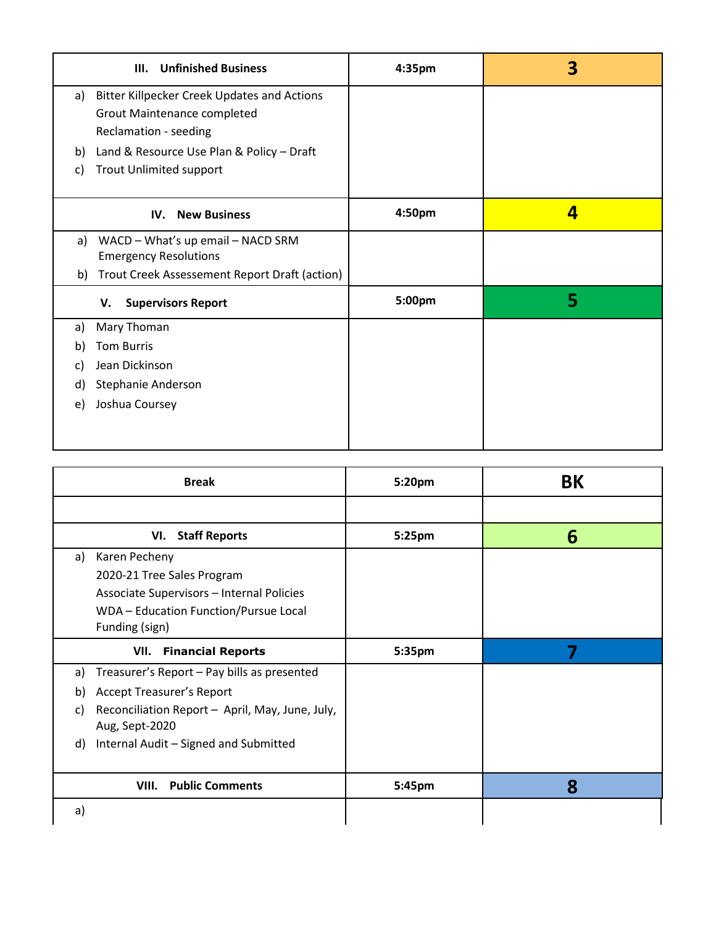| <b>Unfinished Business</b><br>III.                       | 4:35pm | З |
|----------------------------------------------------------|--------|---|
| <b>Bitter Killpecker Creek Updates and Actions</b><br>a) |        |   |
| <b>Grout Maintenance completed</b>                       |        |   |
| Reclamation - seeding                                    |        |   |
| Land & Resource Use Plan & Policy - Draft<br>b)          |        |   |
| <b>Trout Unlimited support</b><br>C)                     |        |   |
|                                                          |        |   |
| <b>New Business</b><br>IV.                               | 4:50pm | 4 |
| WACD - What's up email - NACD SRM<br>a)                  |        |   |
| <b>Emergency Resolutions</b>                             |        |   |
| Trout Creek Assessement Report Draft (action)<br>b)      |        |   |
| <b>Supervisors Report</b><br>V.                          | 5:00pm | 5 |
| Mary Thoman<br>a)                                        |        |   |
| <b>Tom Burris</b><br>b)                                  |        |   |
| Jean Dickinson<br>C)                                     |        |   |
| Stephanie Anderson<br>d)                                 |        |   |
| Joshua Coursey<br>e)                                     |        |   |
|                                                          |        |   |
|                                                          |        |   |

| <b>Break</b>                                                                                                                                              | 5:20pm | <b>BK</b> |
|-----------------------------------------------------------------------------------------------------------------------------------------------------------|--------|-----------|
|                                                                                                                                                           |        |           |
| VI. Staff Reports                                                                                                                                         | 5:25pm | 6         |
| Karen Pecheny<br>a)<br>2020-21 Tree Sales Program<br>Associate Supervisors - Internal Policies<br>WDA - Education Function/Pursue Local<br>Funding (sign) |        |           |
| VII.<br><b>Financial Reports</b>                                                                                                                          | 5:35pm |           |
| Treasurer's Report - Pay bills as presented<br>a)                                                                                                         |        |           |
| <b>Accept Treasurer's Report</b><br>b)                                                                                                                    |        |           |
| Reconciliation Report - April, May, June, July,<br>C)<br>Aug, Sept-2020                                                                                   |        |           |
| Internal Audit - Signed and Submitted<br>d)                                                                                                               |        |           |
| <b>Public Comments</b><br>VIII.                                                                                                                           | 5:45pm | 8         |
| a)                                                                                                                                                        |        |           |